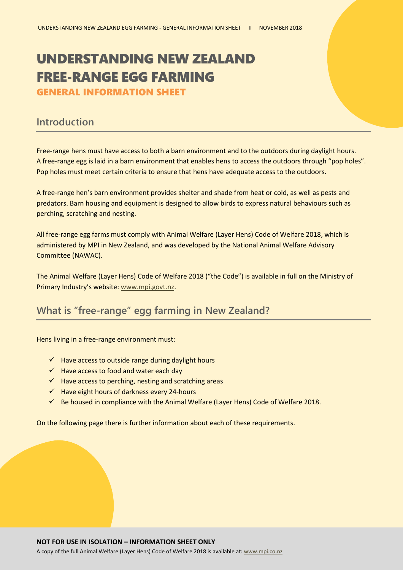# UNDERSTANDING NEW ZEALAND FREE-RANGE EGG FARMING

GENERAL INFORMATION SHEET

#### **Introduction**

Free-range hens must have access to both a barn environment and to the outdoors during daylight hours. A free-range egg is laid in a barn environment that enables hens to access the outdoors through "pop holes". Pop holes must meet certain criteria to ensure that hens have adequate access to the outdoors.

A free-range hen's barn environment provides shelter and shade from heat or cold, as well as pests and predators. Barn housing and equipment is designed to allow birds to express natural behaviours such as perching, scratching and nesting.

All free-range egg farms must comply with Animal Welfare (Layer Hens) Code of Welfare 2018, which is administered by MPI in New Zealand, and was developed by the National Animal Welfare Advisory Committee (NAWAC).

The Animal Welfare (Layer Hens) Code of Welfare 2018 ("the Code") is available in full on the Ministry of Primary Industry's website: [www.mpi.govt.nz.](http://www.mpi.govt.nz/)

#### **What is "free-range" egg farming in New Zealand?**

Hens living in a free-range environment must:

- $\checkmark$  Have access to outside range during daylight hours
- $\checkmark$  Have access to food and water each day
- $\checkmark$  Have access to perching, nesting and scratching areas
- $\checkmark$  Have eight hours of darkness every 24-hours
- $\checkmark$  Be housed in compliance with the Animal Welfare (Layer Hens) Code of Welfare 2018.

On the following page there is further information about each of these requirements.